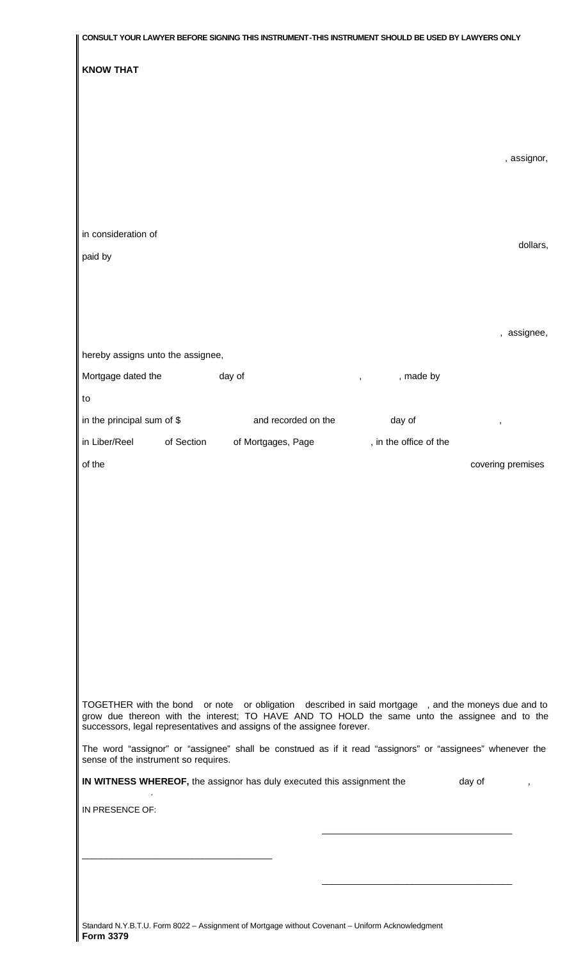|                                      | CONSULT YOUR LAWYER BEFORE SIGNING THIS INSTRUMENT-THIS INSTRUMENT SHOULD BE USED BY LAWYERS ONLY                                                                                                                                                                             |                        |                   |
|--------------------------------------|-------------------------------------------------------------------------------------------------------------------------------------------------------------------------------------------------------------------------------------------------------------------------------|------------------------|-------------------|
| <b>KNOW THAT</b>                     |                                                                                                                                                                                                                                                                               |                        |                   |
|                                      |                                                                                                                                                                                                                                                                               |                        |                   |
|                                      |                                                                                                                                                                                                                                                                               |                        |                   |
|                                      |                                                                                                                                                                                                                                                                               |                        |                   |
|                                      |                                                                                                                                                                                                                                                                               |                        | , assignor,       |
|                                      |                                                                                                                                                                                                                                                                               |                        |                   |
|                                      |                                                                                                                                                                                                                                                                               |                        |                   |
|                                      |                                                                                                                                                                                                                                                                               |                        |                   |
| in consideration of                  |                                                                                                                                                                                                                                                                               |                        | dollars,          |
| paid by                              |                                                                                                                                                                                                                                                                               |                        |                   |
|                                      |                                                                                                                                                                                                                                                                               |                        |                   |
|                                      |                                                                                                                                                                                                                                                                               |                        |                   |
|                                      |                                                                                                                                                                                                                                                                               |                        | , assignee,       |
| hereby assigns unto the assignee,    |                                                                                                                                                                                                                                                                               |                        |                   |
| Mortgage dated the                   | day of                                                                                                                                                                                                                                                                        | , made by              |                   |
| to                                   |                                                                                                                                                                                                                                                                               |                        |                   |
| in the principal sum of \$           | and recorded on the                                                                                                                                                                                                                                                           | day of                 | ,                 |
| in Liber/Reel<br>of Section          | of Mortgages, Page                                                                                                                                                                                                                                                            | , in the office of the |                   |
| of the                               |                                                                                                                                                                                                                                                                               |                        | covering premises |
|                                      |                                                                                                                                                                                                                                                                               |                        |                   |
|                                      |                                                                                                                                                                                                                                                                               |                        |                   |
|                                      |                                                                                                                                                                                                                                                                               |                        |                   |
|                                      |                                                                                                                                                                                                                                                                               |                        |                   |
|                                      |                                                                                                                                                                                                                                                                               |                        |                   |
|                                      |                                                                                                                                                                                                                                                                               |                        |                   |
|                                      |                                                                                                                                                                                                                                                                               |                        |                   |
|                                      |                                                                                                                                                                                                                                                                               |                        |                   |
|                                      |                                                                                                                                                                                                                                                                               |                        |                   |
|                                      |                                                                                                                                                                                                                                                                               |                        |                   |
|                                      | TOGETHER with the bond or note or obligation described in said mortgage, and the moneys due and to<br>grow due thereon with the interest; TO HAVE AND TO HOLD the same unto the assignee and to the<br>successors, legal representatives and assigns of the assignee forever. |                        |                   |
| sense of the instrument so requires. | The word "assignor" or "assignee" shall be construed as if it read "assignors" or "assignees" whenever the                                                                                                                                                                    |                        |                   |
|                                      | IN WITNESS WHEREOF, the assignor has duly executed this assignment the                                                                                                                                                                                                        |                        | day of            |
| IN PRESENCE OF:                      |                                                                                                                                                                                                                                                                               |                        |                   |
|                                      |                                                                                                                                                                                                                                                                               |                        |                   |
|                                      |                                                                                                                                                                                                                                                                               |                        |                   |
|                                      |                                                                                                                                                                                                                                                                               |                        |                   |
|                                      |                                                                                                                                                                                                                                                                               |                        |                   |
|                                      |                                                                                                                                                                                                                                                                               |                        |                   |